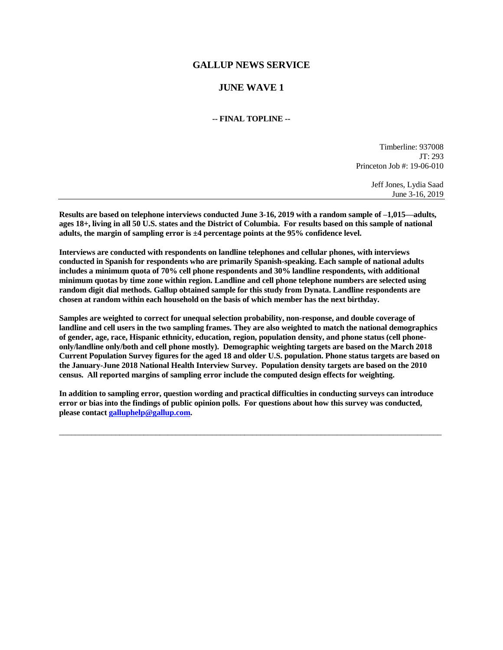# **GALLUP NEWS SERVICE**

# **JUNE WAVE 1**

**-- FINAL TOPLINE --**

Timberline: 937008 JT: 293 Princeton Job #: 19-06-010

> Jeff Jones, Lydia Saad June 3-16, 2019

**Results are based on telephone interviews conducted June 3-16, 2019 with a random sample of –1,015—adults, ages 18+, living in all 50 U.S. states and the District of Columbia. For results based on this sample of national adults, the margin of sampling error is ±4 percentage points at the 95% confidence level.** 

**Interviews are conducted with respondents on landline telephones and cellular phones, with interviews conducted in Spanish for respondents who are primarily Spanish-speaking. Each sample of national adults includes a minimum quota of 70% cell phone respondents and 30% landline respondents, with additional minimum quotas by time zone within region. Landline and cell phone telephone numbers are selected using random digit dial methods. Gallup obtained sample for this study from Dynata. Landline respondents are chosen at random within each household on the basis of which member has the next birthday.**

**Samples are weighted to correct for unequal selection probability, non-response, and double coverage of landline and cell users in the two sampling frames. They are also weighted to match the national demographics of gender, age, race, Hispanic ethnicity, education, region, population density, and phone status (cell phoneonly/landline only/both and cell phone mostly). Demographic weighting targets are based on the March 2018 Current Population Survey figures for the aged 18 and older U.S. population. Phone status targets are based on the January-June 2018 National Health Interview Survey. Population density targets are based on the 2010 census. All reported margins of sampling error include the computed design effects for weighting.** 

**In addition to sampling error, question wording and practical difficulties in conducting surveys can introduce error or bias into the findings of public opinion polls. For questions about how this survey was conducted, please contac[t galluphelp@gallup.com.](mailto:galluphelp@gallup.com)**

 $\Box$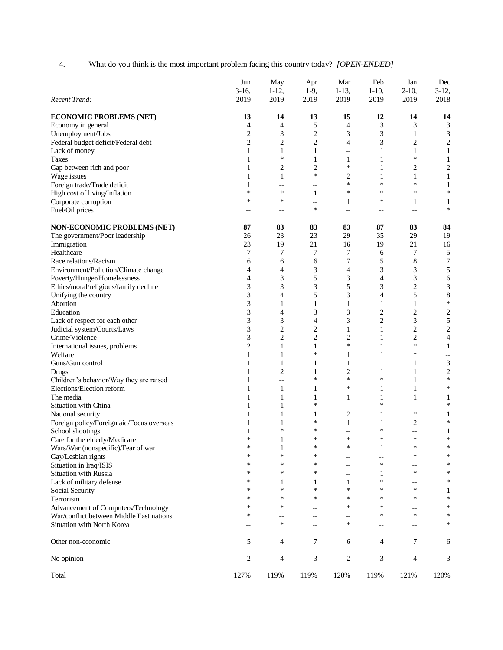4. What do you think is the most important problem facing this country today? *[OPEN-ENDED]*

|                                           | Jun<br>$3-16,$ | May<br>$1-12,$           | Apr<br>$1-9,$  | Mar<br>$1-13,$           | Feb<br>$1-10,$ | Jan<br>$2 - 10$ , | Dec<br>$3-12,$           |
|-------------------------------------------|----------------|--------------------------|----------------|--------------------------|----------------|-------------------|--------------------------|
| Recent Trend:                             | 2019           | 2019                     | 2019           | 2019                     | 2019           | 2019              | 2018                     |
| <b>ECONOMIC PROBLEMS (NET)</b>            | 13             | 14                       | 13             | 15                       | 12             | 14                | 14                       |
| Economy in general                        | 4              | 4                        | 5              | 4                        | 3              | 3                 | 3                        |
| Unemployment/Jobs                         | $\overline{c}$ | 3                        | $\overline{c}$ | 3                        | 3              | $\mathbf{1}$      | 3                        |
| Federal budget deficit/Federal debt       | $\overline{c}$ | $\mathbf{2}$             | $\mathbf{2}$   | $\overline{4}$           | 3              | $\overline{c}$    | $\sqrt{2}$               |
| Lack of money                             | 1              | $\mathbf{1}$             | $\mathbf{1}$   | $\overline{\phantom{a}}$ | 1              | 1                 | $\mathbf{1}$             |
| <b>Taxes</b>                              | 1              | $\ast$                   | $\mathbf{1}$   | $\mathbf{1}$             | 1              | $\ast$            | $\mathbf{1}$             |
| Gap between rich and poor                 | 1              | $\overline{2}$           | $\overline{c}$ | $\ast$                   | 1              | $\overline{c}$    | $\overline{c}$           |
| Wage issues                               | 1              | 1                        | $\ast$         | 2                        | 1              | 1                 | $\mathbf{1}$             |
| Foreign trade/Trade deficit               | 1              | $-$                      | $-$            | *                        | *              | *                 | $\mathbf{1}$             |
| High cost of living/Inflation             | *              | $\ast$                   | $\mathbf{1}$   | $\ast$                   | *              | *                 | ∗                        |
| Corporate corruption                      | *              | $\ast$                   | --             | 1                        | *              | 1                 | 1                        |
| Fuel/Oil prices                           |                | $-$                      | *              | $\overline{a}$           | $\overline{a}$ | $-$               | $\ast$                   |
| NON-ECONOMIC PROBLEMS (NET)               | 87             | 83                       | 83             | 83                       | 87             | 83                | 84                       |
| The government/Poor leadership            | 26             | 23                       | 23             | 29                       | 35             | 29                | 19                       |
| Immigration                               | 23             | 19                       | 21             | 16                       | 19             | 21                | 16                       |
| Healthcare                                | 7              | 7                        | 7              | 7                        | 6              | 7                 | 5                        |
| Race relations/Racism                     | 6              | 6                        | 6              | 7                        | 5              | 8                 | 7                        |
| Environment/Pollution/Climate change      | 4              | 4                        | 3              | $\overline{4}$           | 3              | 3                 | 5                        |
| Poverty/Hunger/Homelessness               | 4              | 3                        | 5              | 3                        | 4              | 3                 | 6                        |
| Ethics/moral/religious/family decline     | 3              | 3                        | 3              | 5                        | 3              | $\overline{c}$    | $\mathfrak{Z}$           |
| Unifying the country                      | 3              | 4                        | 5              | 3                        | 4              | 5                 | $\,$ 8 $\,$              |
| Abortion                                  | 3              | 1                        | 1              | $\mathbf{1}$             | 1              | 1                 | $\ast$                   |
| Education                                 | 3              | 4                        | 3              | 3                        | $\overline{c}$ | $\overline{c}$    | $\overline{c}$           |
| Lack of respect for each other            | 3              | 3                        | 4              | 3                        | $\overline{c}$ | 3                 | 5                        |
| Judicial system/Courts/Laws               | 3              | $\mathbf{2}$             | $\mathbf{2}$   | 1                        | $\mathbf{1}$   | $\overline{c}$    | $\sqrt{2}$               |
| Crime/Violence                            | 3              | $\mathbf{2}$             | $\overline{c}$ | $\overline{c}$           | 1              | $\overline{c}$    | $\overline{4}$           |
| International issues, problems            | $\overline{c}$ | $\mathbf{1}$             | $\mathbf{1}$   | $\ast$                   | $\mathbf{1}$   | ∗                 | $\mathbf{1}$             |
| Welfare                                   | 1              | 1                        | ∗              | 1                        | 1              | ∗                 | $\overline{\phantom{a}}$ |
| Guns/Gun control                          | 1              | $\mathbf{1}$             | 1              | $\mathbf{1}$             | 1              | 1                 | 3                        |
| Drugs                                     | 1              | 2                        | 1              | $\overline{c}$           | 1              | 1                 | $\sqrt{2}$               |
| Children's behavior/Way they are raised   | 1              | $-$                      | *              | $\ast$                   | $\ast$         | 1                 | $\ast$                   |
| Elections/Election reform                 | 1              | $\mathbf{1}$             | 1              | $\ast$                   | 1              | 1                 | $\ast$                   |
| The media                                 | 1              | $\mathbf{1}$             | 1              | 1                        | 1              | $\mathbf{1}$      | 1                        |
| Situation with China                      | 1              | $\mathbf{1}$             | $\ast$         | $\overline{\phantom{a}}$ | $\ast$         | $-$               | $\ast$                   |
| National security                         | 1              | $\mathbf{1}$             | 1              | $\overline{c}$           | $\mathbf{1}$   | $\ast$            | 1                        |
| Foreign policy/Foreign aid/Focus overseas |                | 1                        | ∗              | 1                        | 1              | $\overline{2}$    | $\ast$                   |
| School shootings                          | 1              | $\ast$                   | ∗              | $-$                      | $\ast$         |                   | 1                        |
| Care for the elderly/Medicare             | *              | 1                        | *              | $\ast$                   | *              | *                 | ∗                        |
| Wars/War (nonspecific)/Fear of war        | ∗              | $\mathbf{1}$             | ∗              | $\ast$                   | $\mathbf{1}$   | $\ast$            | $\ast$                   |
| Gay/Lesbian rights                        | ∗              | $\ast$                   | ∗              | $-$                      | $-$            | *                 | $\ast$                   |
| Situation in Iraq/ISIS                    | ∗              | $\ast$                   | ∗              | $-$                      | ∗              | $-$               | $\ast$                   |
| <b>Situation with Russia</b>              | ∗              | $\ast$                   | ∗              | $\overline{\phantom{a}}$ | 1              | *                 | $\ast$                   |
| Lack of military defense                  | ∗              | 1                        | 1              | 1                        | ∗              | $-$               | $\ast$                   |
| Social Security                           | ∗              | $\ast$                   | *              | $\ast$                   | $\ast$         | $\ast$            | 1                        |
| Terrorism                                 | ∗              | $\ast$                   | $\ast$         | $\ast$                   | $\ast$         | *                 | $\ast$                   |
| Advancement of Computers/Technology       | ∗              | *                        |                | $\ast$                   | *              | $-$               | $\ast$                   |
| War/conflict between Middle East nations  | ∗              | $\overline{\phantom{m}}$ | $-$            | $-$                      | ∗              | $\ast$            | $\ast$                   |
| Situation with North Korea                | --             | $\ast$                   | $-$            | $\ast$                   | $-$            |                   | ∗                        |
| Other non-economic                        | 5              | 4                        | $\tau$         | 6                        | 4              | 7                 | 6                        |
| No opinion                                | 2              | 4                        | 3              | 2                        | 3              | 4                 | 3                        |
| Total                                     | 127%           | 119%                     | 119%           | 120%                     | 119%           | 121%              | 120%                     |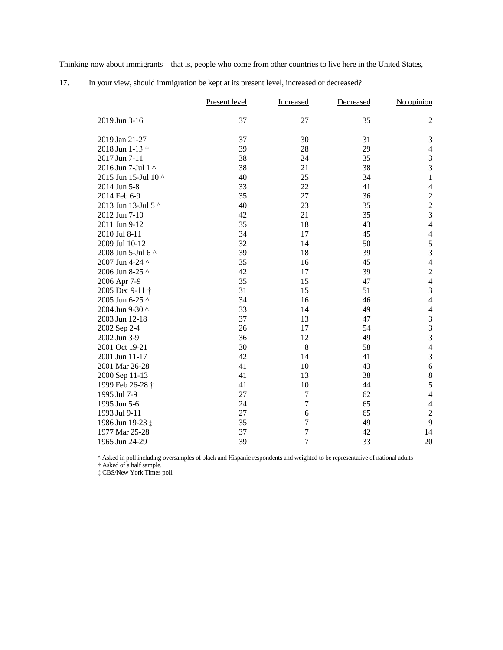Thinking now about immigrants—that is, people who come from other countries to live here in the United States,

|                      | Present level | Increased        | Decreased | No opinion                                 |
|----------------------|---------------|------------------|-----------|--------------------------------------------|
| 2019 Jun 3-16        | 37            | 27               | 35        | $\overline{c}$                             |
| 2019 Jan 21-27       | 37            | 30               | 31        | $\mathfrak{Z}$                             |
| 2018 Jun 1-13 †      | 39            | 28               | 29        | $\overline{4}$                             |
| 2017 Jun 7-11        | 38            | 24               | 35        | $\overline{3}$                             |
| 2016 Jun 7-Jul 1 ^   | 38            | 21               | 38        | $\overline{3}$                             |
| 2015 Jun 15-Jul 10 ^ | 40            | 25               | 34        | $\mathbf{1}$                               |
| 2014 Jun 5-8         | 33            | 22               | 41        | $\overline{4}$                             |
| 2014 Feb 6-9         | 35            | 27               | 36        |                                            |
| 2013 Jun 13-Jul 5 ^  | 40            | 23               | 35        | $\begin{array}{c} 2 \\ 2 \\ 3 \end{array}$ |
| 2012 Jun 7-10        | 42            | 21               | 35        |                                            |
| 2011 Jun 9-12        | 35            | 18               | 43        | $\overline{4}$                             |
| 2010 Jul 8-11        | 34            | 17               | 45        | $\overline{4}$                             |
| 2009 Jul 10-12       | 32            | 14               | 50        | $rac{5}{3}$                                |
| 2008 Jun 5-Jul 6 ^   | 39            | 18               | 39        |                                            |
| 2007 Jun 4-24 ^      | 35            | 16               | 45        | $\overline{\mathcal{L}}$                   |
| 2006 Jun 8-25 ^      | 42            | 17               | 39        | $\overline{c}$                             |
| 2006 Apr 7-9         | 35            | 15               | 47        | $\overline{\mathcal{L}}$                   |
| 2005 Dec 9-11 †      | 31            | 15               | 51        | 3                                          |
| 2005 Jun 6-25 ^      | 34            | 16               | 46        | $\overline{4}$                             |
| 2004 Jun 9-30 ^      | 33            | 14               | 49        | $\overline{\mathcal{L}}$                   |
| 2003 Jun 12-18       | 37            | 13               | 47        | 3                                          |
| 2002 Sep 2-4         | 26            | 17               | 54        | $\frac{3}{3}$                              |
| 2002 Jun 3-9         | 36            | 12               | 49        |                                            |
| 2001 Oct 19-21       | 30            | 8                | 58        | $\overline{4}$                             |
| 2001 Jun 11-17       | 42            | 14               | 41        | 3                                          |
| 2001 Mar 26-28       | 41            | 10               | 43        | $\sqrt{6}$                                 |
| 2000 Sep 11-13       | 41            | 13               | 38        | $\,8\,$                                    |
| 1999 Feb 26-28 †     | 41            | 10               | 44        | 5                                          |
| 1995 Jul 7-9         | 27            | $\tau$           | 62        | $\overline{4}$                             |
| 1995 Jun 5-6         | 24            | 7                | 65        | $\overline{4}$                             |
| 1993 Jul 9-11        | 27            | 6                | 65        | $\overline{c}$                             |
| 1986 Jun 19-23 ‡     | 35            | $\tau$           | 49        | 9                                          |
| 1977 Mar 25-28       | 37            | $\boldsymbol{7}$ | 42        | 14                                         |
| 1965 Jun 24-29       | 39            | $\overline{7}$   | 33        | 20                                         |

17. In your view, should immigration be kept at its present level, increased or decreased?

^ Asked in poll including oversamples of black and Hispanic respondents and weighted to be representative of national adults

† Asked of a half sample.

‡ CBS/New York Times poll.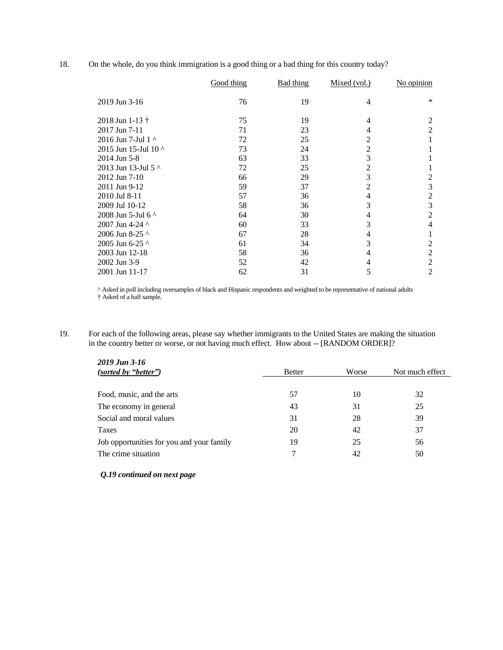18. On the whole, do you think immigration is a good thing or a bad thing for this country today?

|                              | Good thing | Bad thing | Mixed (vol.)   | No opinion     |
|------------------------------|------------|-----------|----------------|----------------|
| 2019 Jun 3-16                | 76         | 19        | 4              | ∗              |
| 2018 Jun 1-13 $\dagger$      | 75         | 19        | 4              | 2              |
| 2017 Jun 7-11                | 71         | 23        | 4              | 2              |
| 2016 Jun 7-Jul 1 ^           | 72         | 25        | 2              |                |
| 2015 Jun 15-Jul 10 ^         | 73         | 24        | 2              |                |
| 2014 Jun 5-8                 | 63         | 33        | 3              |                |
| 2013 Jun 13-Jul 5 ^          | 72         | 25        | $\overline{2}$ |                |
| 2012 Jun 7-10                | 66         | 29        | 3              | 2              |
| 2011 Jun 9-12                | 59         | 37        | 2              | 3              |
| 2010 Jul 8-11                | 57         | 36        | 4              | 2              |
| 2009 Jul 10-12               | 58         | 36        | 3              | 3              |
| 2008 Jun 5-Jul 6 $\triangle$ | 64         | 30        | 4              | $\overline{2}$ |
| 2007 Jun 4-24 ^              | 60         | 33        | 3              | 4              |
| 2006 Jun 8-25 ^              | 67         | 28        | 4              |                |
| 2005 Jun 6-25 ^              | 61         | 34        | 3              | 2              |
| 2003 Jun 12-18               | 58         | 36        | 4              | 2              |
| 2002 Jun 3-9                 | 52         | 42        | 4              | 2              |
| 2001 Jun 11-17               | 62         | 31        | 5              | 2              |

^ Asked in poll including oversamples of black and Hispanic respondents and weighted to be representative of national adults † Asked of a half sample.

19. For each of the following areas, please say whether immigrants to the United States are making the situation in the country better or worse, or not having much effect. How about -- [RANDOM ORDER]?

| 2019 Jun 3-16                             |               |       |                 |  |
|-------------------------------------------|---------------|-------|-----------------|--|
| (sorted by "better")                      | <b>Better</b> | Worse | Not much effect |  |
|                                           |               |       |                 |  |
| Food, music, and the arts                 | 57            | 10    | 32              |  |
| The economy in general                    | 43            | 31    | 25              |  |
| Social and moral values                   | 31            | 28    | 39              |  |
| Taxes                                     | 20            | 42    | 37              |  |
| Job opportunities for you and your family | 19            | 25    | 56              |  |
| The crime situation                       | ¬             | 42    | 50              |  |

## *Q.19 continued on next page*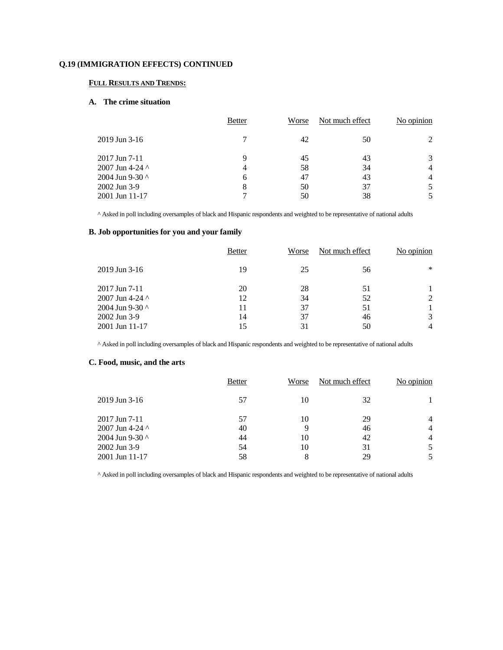## **Q.19 (IMMIGRATION EFFECTS) CONTINUED**

## **FULL RESULTS AND TRENDS:**

### **A. The crime situation**

|                       | <b>Better</b> | Worse | Not much effect | No opinion     |
|-----------------------|---------------|-------|-----------------|----------------|
| $2019$ Jun 3-16       | 7             | 42    | 50              |                |
| $2017$ Jun 7-11       | 9             | 45    | 43              |                |
| 2007 Jun 4-24 $\land$ | 4             | 58    | 34              | $\overline{4}$ |
| 2004 Jun 9-30 ^       | 6             | 47    | 43              | $\overline{4}$ |
| 2002 Jun 3-9          | 8             | 50    | 37              |                |
| 2001 Jun 11-17        |               | 50    | 38              |                |

^ Asked in poll including oversamples of black and Hispanic respondents and weighted to be representative of national adults

# **B. Job opportunities for you and your family**

|                                                                                                | <b>Better</b>              | Worse                      | Not much effect            | No opinion  |
|------------------------------------------------------------------------------------------------|----------------------------|----------------------------|----------------------------|-------------|
| $2019$ Jun 3-16                                                                                | 19                         | 25                         | 56                         | ∗           |
| $2017$ Jun 7-11<br>2007 Jun 4-24 $\sim$<br>2004 Jun 9-30 ^<br>2002 Jun 3-9<br>$2001$ Jun 11-17 | 20<br>12<br>11<br>14<br>15 | 28<br>34<br>37<br>37<br>31 | 51<br>52<br>51<br>46<br>50 | 2<br>3<br>4 |

^ Asked in poll including oversamples of black and Hispanic respondents and weighted to be representative of national adults

## **C. Food, music, and the arts**

|                        | <b>Better</b> | Worse | Not much effect | No opinion |
|------------------------|---------------|-------|-----------------|------------|
| $2019$ Jun 3-16        | 57            | 10    | 32              |            |
| $2017$ Jun 7-11        | 57            | 10    | 29              | 4          |
| 2007 Jun 4-24 $\wedge$ | 40            | 9     | 46              | 4          |
| 2004 Jun 9-30 $\land$  | 44            | 10    | 42              | 4          |
| 2002 Jun 3-9           | 54            | 10    | 31              |            |
| $2001$ Jun 11-17       | 58            | 8     | 29              |            |
|                        |               |       |                 |            |

^ Asked in poll including oversamples of black and Hispanic respondents and weighted to be representative of national adults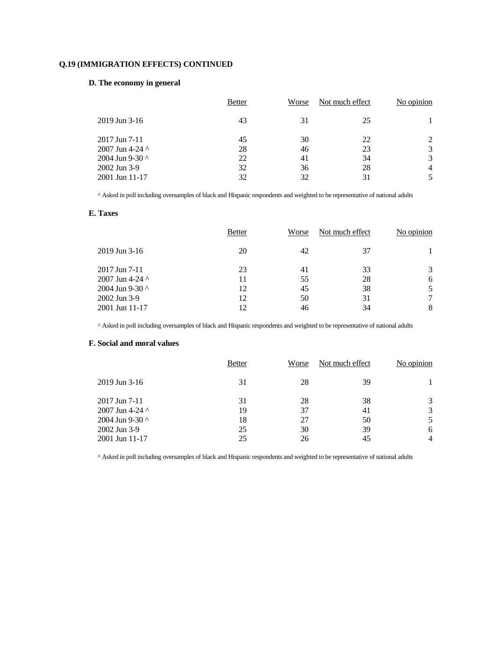# **Q.19 (IMMIGRATION EFFECTS) CONTINUED**

# **D. The economy in general**

|                        | <b>Better</b> | Worse | Not much effect | No opinion |
|------------------------|---------------|-------|-----------------|------------|
| $2019$ Jun 3-16        | 43            | 31    | 25              |            |
| $2017$ Jun 7-11        | 45            | 30    | 22              |            |
| 2007 Jun 4-24 $\wedge$ | 28            | 46    | 23              | 3          |
| 2004 Jun 9-30 ^        | 22            | 41    | 34              | 3          |
| 2002 Jun 3-9           | 32            | 36    | 28              | 4          |
| 2001 Jun 11-17         | 32            | 32    | 31              |            |

^ Asked in poll including oversamples of black and Hispanic respondents and weighted to be representative of national adults

## **E. Taxes**

|                                                                           | <b>Better</b>        | Worse                | Not much effect      | No opinion |
|---------------------------------------------------------------------------|----------------------|----------------------|----------------------|------------|
| $2019$ Jun 3-16                                                           | 20                   | 42                   | 37                   |            |
| 2017 Jun 7-11<br>2007 Jun 4-24 $\land$<br>2004 Jun 9-30 ^<br>2002 Jun 3-9 | 23<br>11<br>12<br>12 | 41<br>55<br>45<br>50 | 33<br>28<br>38<br>31 | 3<br>6     |
| 2001 Jun 11-17                                                            | 12                   | 46                   | 34                   | 8          |

^ Asked in poll including oversamples of black and Hispanic respondents and weighted to be representative of national adults

# **F. Social and moral values**

|                       | <b>Better</b> | Worse | Not much effect | No opinion |
|-----------------------|---------------|-------|-----------------|------------|
| $2019$ Jun 3-16       | 31            | 28    | 39              |            |
| $2017$ Jun 7-11       | 31            | 28    | 38              | 3          |
| 2007 Jun 4-24 $\land$ | 19            | 37    | 41              | 3          |
| 2004 Jun 9-30 ^       | 18            | 27    | 50              |            |
| 2002 Jun 3-9          | 25            | 30    | 39              | 6          |
| $2001$ Jun 11-17      | 25            | 26    | 45              | 4          |

^ Asked in poll including oversamples of black and Hispanic respondents and weighted to be representative of national adults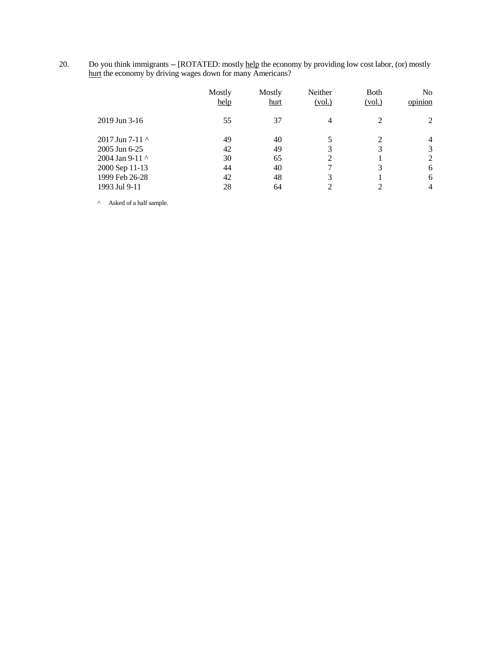20. Do you think immigrants -- [ROTATED: mostly help the economy by providing low cost labor, (or) mostly hurt the economy by driving wages down for many Americans?

|                                                                                              | Mostly<br>help             | Mostly<br>hurt             | Neither<br><u>(vol.)</u> | <b>B</b> oth<br>(vol.) | No<br>opinion         |
|----------------------------------------------------------------------------------------------|----------------------------|----------------------------|--------------------------|------------------------|-----------------------|
| $2019$ Jun 3-16                                                                              | 55                         | 37                         | 4                        | $\mathfrak{D}$         | 2                     |
| 2017 Jun 7-11 $\sim$<br>2005 Jun 6-25<br>2004 Jan 9-11 ^<br>2000 Sep 11-13<br>1999 Feb 26-28 | 49<br>42<br>30<br>44<br>42 | 40<br>49<br>65<br>40<br>48 | 3<br>2<br>3              | 2<br>3<br>3            | 4<br>3<br>2<br>6<br>6 |
| 1993 Jul 9-11                                                                                | 28                         | 64                         | $\mathfrak{D}$           |                        | 4                     |

 $^\wedge$  Asked of a half sample.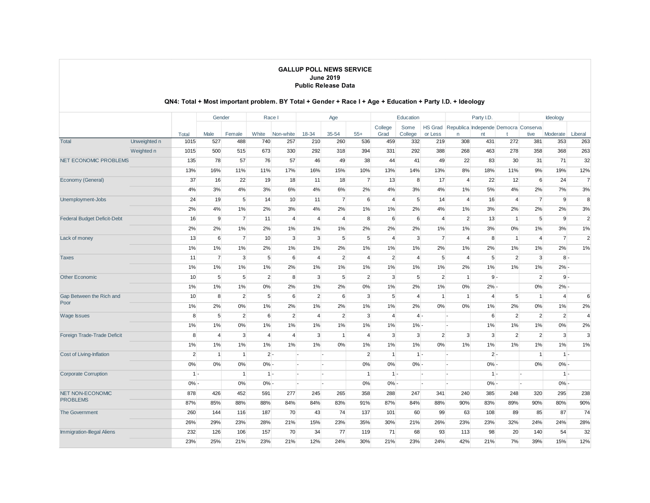|                                    |              |                | Gender          |                |                | Race I         |                | Age            |                | Education      |                 | Party I.D.     |                                              | Ideology       |                |                |                |                |
|------------------------------------|--------------|----------------|-----------------|----------------|----------------|----------------|----------------|----------------|----------------|----------------|-----------------|----------------|----------------------------------------------|----------------|----------------|----------------|----------------|----------------|
|                                    |              |                |                 |                |                |                |                |                |                | College        | Some            |                | HS Grad Republica Independe Democra Conserva |                |                |                |                |                |
|                                    |              | Total          | Male            | Female         | White          | Non-white      | 18-34          | 35-54          | $55+$          | Grad           | College         | or Less        | n                                            | nt             |                | tive           | Moderate       | Liberal        |
| <b>Total</b>                       | Unweighted n | 1015           | 527             | 488            | 740            | 257            | 210            | 260            | 536            | 459            | 332             | 219            | 308                                          | 431            | 272            | 381            | 353            | 263            |
|                                    | Weighted n   | 1015           | 500             | 515            | 673            | 330            | 292            | 318            | 394            | 331            | 292             | 388            | 268                                          | 463            | 278            | 358            | 368            | 263            |
| <b>NET ECONOMIC PROBLEMS</b>       |              | 135            | 78              | 57             | 76             | 57             | 46             | 49             | 38             | 44             | 41              | 49             | 22                                           | 83             | 30             | 31             | 71             | 32             |
|                                    |              | 13%            | 16%             | 11%            | 11%            | 17%            | 16%            | 15%            | 10%            | 13%            | 14%             | 13%            | 8%                                           | 18%            | 11%            | 9%             | 19%            | 12%            |
| Economy (General)                  |              | 37             | 16              | 22             | 19             | 18             | 11             | 18             | $\overline{7}$ | 13             | 8               | 17             | $\overline{4}$                               | 22             | 12             | 6              | 24             | $\overline{7}$ |
|                                    |              | 4%             | 3%              | 4%             | 3%             | 6%             | 4%             | 6%             | 2%             | 4%             | 3%              | 4%             | 1%                                           | 5%             | 4%             | 2%             | 7%             | 3%             |
| Unemployment-Jobs                  |              | 24             | 19              | 5              | 14             | 10             | 11             | $\overline{7}$ | 6              | $\overline{4}$ | $5\overline{5}$ | 14             | $\overline{4}$                               | 16             | $\overline{4}$ | $\overline{7}$ | 9              | 8              |
|                                    |              | 2%             | 4%              | 1%             | 2%             | 3%             | 4%             | 2%             | 1%             | 1%             | 2%              | 4%             | 1%                                           | 3%             | 2%             | 2%             | 2%             | 3%             |
| <b>Federal Budget Deficit-Debt</b> |              | 16             | 9               | $\overline{7}$ | 11             | $\overline{4}$ | $\overline{4}$ | $\overline{4}$ | 8              | 6              | 6               | $\overline{4}$ | $\overline{2}$                               | 13             | $\mathbf{1}$   | 5              | 9              | $\overline{2}$ |
|                                    |              | 2%             | 2%              | 1%             | 2%             | 1%             | 1%             | 1%             | 2%             | 2%             | 2%              | 1%             | 1%                                           | 3%             | $0\%$          | 1%             | 3%             | 1%             |
| Lack of money                      |              | 13             | 6               | $\overline{7}$ | 10             | 3              | 3              | 5              | 5              | $\overline{4}$ | 3               | $\overline{7}$ | $\overline{4}$                               | 8              | $\mathbf{1}$   | $\overline{4}$ | $\overline{7}$ | $\overline{2}$ |
|                                    |              | 1%             | 1%              | 1%             | 2%             | 1%             | 1%             | 2%             | 1%             | 1%             | 1%              | 2%             | 1%                                           | 2%             | 1%             | 1%             | 2%             | 1%             |
| <b>Taxes</b>                       |              | 11             | $\overline{7}$  | 3              | 5              | 6              | $\overline{4}$ | $\overline{2}$ | $\overline{4}$ | $\overline{2}$ | $\overline{4}$  | 5              | $\overline{4}$                               | 5              | $\overline{2}$ | 3              | $8 -$          |                |
|                                    |              | 1%             | 1%              | 1%             | 1%             | 2%             | 1%             | 1%             | 1%             | 1%             | 1%              | 1%             | 2%                                           | 1%             | 1%             | 1%             | $2% -$         |                |
| <b>Other Economic</b>              |              | 10             | $5\overline{)}$ | 5              | $\overline{2}$ | 8              | 3              | 5              | $\overline{2}$ | 3              | $5\overline{5}$ | $\overline{2}$ | $\mathbf{1}$                                 | $9 -$          |                | $\overline{2}$ | $9 -$          |                |
|                                    |              | 1%             | 1%              | 1%             | 0%             | 2%             | 1%             | 2%             | 0%             | 1%             | 2%              | 1%             | 0%                                           | $2% -$         |                | 0%             | $2% -$         |                |
| Gap Between the Rich and           |              | 10             | 8               | $\overline{2}$ | 5              | 6              | $\overline{2}$ | 6              | 3              | 5 <sup>5</sup> | $\overline{4}$  | $\mathbf{1}$   | $\mathbf{1}$                                 | $\overline{4}$ | 5              | $\mathbf{1}$   | $\overline{4}$ | 6              |
| Poor                               |              | 1%             | 2%              | 0%             | 1%             | 2%             | 1%             | 2%             | 1%             | 1%             | 2%              | 0%             | 0%                                           | 1%             | 2%             | 0%             | 1%             | 2%             |
| <b>Wage Issues</b>                 |              | 8              | 5               | $\overline{2}$ | 6              | $\overline{2}$ | $\overline{4}$ | $\overline{2}$ | 3              | $\overline{4}$ | $4 -$           |                | ı.                                           | 6              | $\overline{2}$ | $\overline{2}$ | $\overline{2}$ | $\overline{4}$ |
|                                    |              | 1%             | 1%              | 0%             | 1%             | 1%             | 1%             | 1%             | 1%             | $1\%$          | $1% -$          |                |                                              | 1%             | 1%             | 1%             | 0%             | 2%             |
| Foreign Trade-Trade Deficit        |              | 8              | $\overline{4}$  | 3              | $\overline{4}$ | $\overline{4}$ | 3              | $\mathbf{1}$   | $\overline{4}$ | 3              | 3               | $\overline{2}$ | 3                                            | 3              | $\overline{2}$ | $\overline{2}$ | 3              | 3              |
|                                    |              | 1%             | 1%              | 1%             | 1%             | 1%             | 1%             | 0%             | 1%             | 1%             | 1%              | $0\%$          | 1%                                           | 1%             | 1%             | 1%             | 1%             | 1%             |
| Cost of Living-Inflation           |              | $\overline{2}$ | $\mathbf{1}$    | $\mathbf{1}$   | $2 -$          |                |                | ı.             | $\overline{2}$ | 1              | $1 -$           |                | ŀ.                                           | $2 -$          |                | $\mathbf{1}$   | $1 -$          |                |
|                                    |              | 0%             | 0%              | 0%             | $0% -$         |                |                |                | 0%             | 0%             | $0% -$          |                |                                              | $0% -$         |                | 0%             | $0% -$         |                |
| <b>Corporate Corruption</b>        |              | $1 -$          |                 | $\mathbf{1}$   | $1 -$          |                |                |                | $\overline{1}$ | $1 -$          |                 | ı.             |                                              | $1 -$          |                |                | $1 -$          |                |
|                                    |              | 0%             |                 | 0%             | $0% -$         |                |                |                | 0%             | $0% -$         |                 |                |                                              | $0% -$         |                |                | $0% -$         |                |
| NET NON-ECONOMIC                   |              | 878            | 426             | 452            | 591            | 277            | 245            | 265            | 358            | 288            | 247             | 341            | 240                                          | 385            | 248            | 320            | 295            | 238            |
| <b>PROBLEMS</b>                    |              | 87%            | 85%             | 88%            | 88%            | 84%            | 84%            | 83%            | 91%            | 87%            | 84%             | 88%            | 90%                                          | 83%            | 89%            | 90%            | 80%            | 90%            |
| <b>The Government</b>              |              | 260            | 144             | 116            | 187            | 70             | 43             | 74             | 137            | 101            | 60              | 99             | 63                                           | 108            | 89             | 85             | 87             | 74             |
|                                    |              | 26%            | 29%             | 23%            | 28%            | 21%            | 15%            | 23%            | 35%            | 30%            | 21%             | 26%            | 23%                                          | 23%            | 32%            | 24%            | 24%            | 28%            |
| <b>Immigration-Illegal Aliens</b>  |              | 232            | 126             | 106            | 157            | 70             | 34             | 77             | 119            | 71             | 68              | 93             | 113                                          | 98             | 20             | 140            | 54             | 32             |
|                                    |              | 23%            | 25%             | 21%            | 23%            | 21%            | 12%            | 24%            | 30%            | 21%            | 23%             | 24%            | 42%                                          | 21%            | 7%             | 39%            | 15%            | 12%            |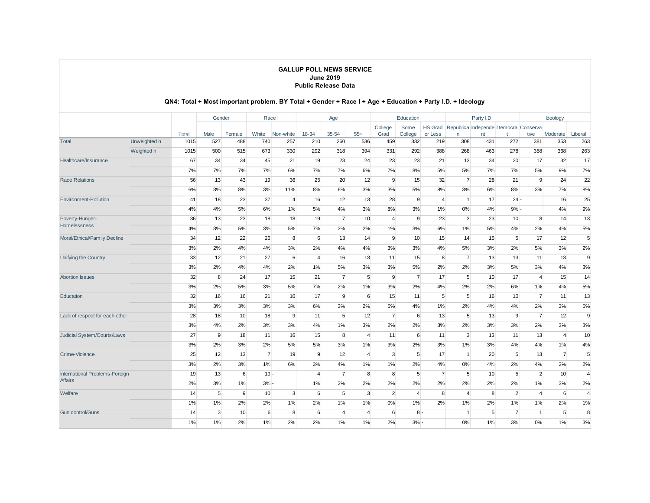|                                 |              |       | Gender          |        |                 | Race I          |                 | Age                     |                |                | Education       |                |                | Party I.D.      |                                      |                | Ideology        |                |
|---------------------------------|--------------|-------|-----------------|--------|-----------------|-----------------|-----------------|-------------------------|----------------|----------------|-----------------|----------------|----------------|-----------------|--------------------------------------|----------------|-----------------|----------------|
|                                 |              |       |                 |        |                 |                 |                 |                         |                | College        | Some            | HS Grad        |                |                 | Republica Independe Democra Conserva |                |                 |                |
|                                 |              | Total | Male            | Female | White           | Non-white       | 18-34           | 35-54                   | $55+$          | Grad           | College         | or Less        | n              | nt              |                                      | tive           | Moderate        | Liberal        |
| <b>Total</b>                    | Unweighted n | 1015  | 527             | 488    | 740             | 257             | 210             | 260                     | 536            | 459            | 332             | 219            | 308            | 431             | 272                                  | 381            | 353             | 263            |
|                                 | Weighted n   | 1015  | 500             | 515    | 673             | 330             | 292             | 318                     | 394            | 331            | 292             | 388            | 268            | 463             | 278                                  | 358            | 368             | 263            |
| Healthcare/Insurance            |              | 67    | 34              | 34     | 45              | 21              | 19              | 23                      | 24             | 23             | 23              | 21             | 13             | 34              | 20                                   | 17             | 32              | 17             |
|                                 |              | 7%    | 7%              | 7%     | 7%              | 6%              | 7%              | 7%                      | 6%             | 7%             | 8%              | 5%             | 5%             | 7%              | 7%                                   | 5%             | 9%              | 7%             |
| <b>Race Relations</b>           |              | 56    | 13              | 43     | 19              | 36              | 25              | 20                      | 12             | 9              | 15              | 32             | $\overline{7}$ | 28              | 21                                   | 9              | 24              | 22             |
|                                 |              | 6%    | 3%              | 8%     | 3%              | 11%             | 8%              | 6%                      | 3%             | 3%             | 5%              | 8%             | 3%             | 6%              | 8%                                   | 3%             | 7%              | 8%             |
| <b>Environment-Pollution</b>    |              | 41    | 18              | 23     | 37              | $\overline{4}$  | 16              | 12                      | 13             | 28             | 9               | 4              | $\overline{1}$ | 17              | $24 -$                               |                | 16              | 25             |
|                                 |              | 4%    | 4%              | 5%     | 6%              | 1%              | 5%              | 4%                      | 3%             | 8%             | 3%              | 1%             | $0\%$          | 4%              | $9% -$                               |                | 4%              | 9%             |
| Poverty-Hunger-<br>Homelessness |              | 36    | 13              | 23     | 18              | 18              | 19              | $\overline{7}$          | 10             | $\overline{4}$ | 9               | 23             | 3              | 23              | 10                                   | 8              | 14              | 13             |
|                                 |              | 4%    | 3%              | 5%     | 3%              | 5%              | 7%              | 2%                      | 2%             | 1%             | 3%              | 6%             | $1\%$          | 5%              | 4%                                   | 2%             | 4%              | 5%             |
| Moral/Ethical/Family Decline    |              | 34    | 12              | 22     | 26              | 8               | 6               | 13                      | 14             | 9              | 10 <sup>1</sup> | 15             | 14             | 15              | 5                                    | 17             | 12              | 5              |
|                                 |              | 3%    | 2%              | 4%     | 4%              | 3%              | 2%              | 4%                      | 4%             | 3%             | 3%              | 4%             | 5%             | 3%              | 2%                                   | 5%             | 3%              | 2%             |
| Unifying the Country            |              | 33    | 12              | 21     | 27              | 6               | $\overline{4}$  | 16                      | 13             | 11             | 15              | 8              | $\overline{7}$ | 13              | 13                                   | 11             | 13              | 9              |
|                                 |              | 3%    | 2%              | 4%     | 4%              | 2%              | 1%              | 5%                      | 3%             | 3%             | 5%              | 2%             | 2%             | 3%              | 5%                                   | 3%             | 4%              | 3%             |
| <b>Abortion Issues</b>          |              | 32    | 8               | 24     | 17              | 15              | 21              | $\overline{7}$          | 5              | 9              | $\overline{7}$  | 17             | 5              | 10 <sup>1</sup> | 17                                   | $\overline{4}$ | 15              | 14             |
|                                 |              | 3%    | 2%              | 5%     | 3%              | 5%              | 7%              | 2%                      | 1%             | 3%             | 2%              | 4%             | 2%             | 2%              | 6%                                   | 1%             | 4%              | 5%             |
| Education                       |              | 32    | 16              | 16     | 21              | 10 <sup>°</sup> | 17              | 9                       | 6              | 15             | 11              | 5              | 5              | 16              | 10                                   | $\overline{7}$ | 11              | 13             |
|                                 |              | 3%    | 3%              | 3%     | 3%              | 3%              | 6%              | 3%                      | 2%             | 5%             | 4%              | $1\%$          | 2%             | 4%              | 4%                                   | 2%             | 3%              | 5%             |
| Lack of respect for each other  |              | 28    | 18              | 10     | 18              | 9               | 11              | 5                       | 12             | $\overline{7}$ | 6               | 13             | 5              | 13              | 9                                    | $\overline{7}$ | 12              | 9              |
|                                 |              | 3%    | 4%              | 2%     | 3%              | 3%              | 4%              | 1%                      | 3%             | 2%             | 2%              | 3%             | 2%             | 3%              | 3%                                   | 2%             | 3%              | 3%             |
| Judicial System/Courts/Laws     |              | 27    | 9               | 18     | 11              | 16              | 15              | 8                       | $\overline{4}$ | 11             | 6               | 11             | 3              | 13              | 11                                   | 13             | $\overline{4}$  | 10             |
|                                 |              | 3%    | 2%              | 3%     | 2%              | 5%              | 5%              | 3%                      | 1%             | 3%             | 2%              | 3%             | 1%             | 3%              | 4%                                   | 4%             | 1%              | 4%             |
| Crime-Violence                  |              | 25    | 12              | 13     | $\overline{7}$  | 19              | 9               | 12                      | $\overline{4}$ | 3              | 5               | 17             | $\overline{1}$ | 20              | 5                                    | 13             | $\overline{7}$  | 5              |
|                                 |              | 3%    | 2%              | 3%     | 1%              | 6%              | 3%              | 4%                      | 1%             | 1%             | 2%              | 4%             | 0%             | 4%              | 2%                                   | 4%             | 2%              | 2%             |
| International Problems-Foreign  |              | 19    | 13              | 6      | $19 -$          |                 | $\overline{4}$  | $\overline{7}$          | 8              | 8              | 5 <sup>5</sup>  | $\overline{7}$ | 5              | 10 <sup>1</sup> | 5                                    | $\overline{2}$ | 10              | $\overline{4}$ |
| <b>Affairs</b>                  |              | 2%    | 3%              | 1%     | $3% -$          |                 | 1%              | 2%                      | 2%             | 2%             | 2%              | 2%             | 2%             | 2%              | 2%                                   | 1%             | 3%              | 2%             |
| Welfare                         |              | 14    | $5\overline{5}$ | 9      | 10 <sup>1</sup> | 3               | $6\overline{6}$ | $5\overline{5}$         | 3              | $\overline{2}$ | $\overline{4}$  | 8              | $\overline{4}$ | 8               | $\overline{2}$                       | $\overline{4}$ | 6               | $\overline{4}$ |
|                                 |              | 1%    | 1%              | 2%     | 2%              | 1%              | 2%              | 1%                      | 1%             | 0%             | $1\%$           | 2%             | 1%             | 2%              | 1%                                   | 1%             | 2%              | 1%             |
| <b>Gun control/Guns</b>         |              | 14    | 3               | 10     | 6               | 8               | 6               | $\overline{\mathbf{A}}$ | $\overline{4}$ | 6              | $8 -$           |                | $\overline{1}$ | 5 <sup>5</sup>  | $\overline{7}$                       | $\overline{1}$ | $5\overline{)}$ | 8              |
|                                 |              | 1%    | 1%              | 2%     | 1%              | 2%              | 2%              | 1%                      | 1%             | 2%             | $3% -$          |                | 0%             | 1%              | 3%                                   | 0%             | 1%              | 3%             |
|                                 |              |       |                 |        |                 |                 |                 |                         |                |                |                 |                |                |                 |                                      |                |                 |                |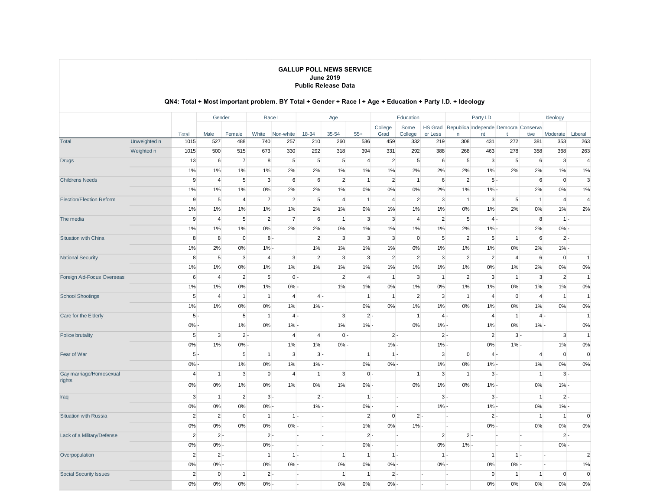|                                 |              |                  | Gender         |                | Race I         |                |                | Age            |                |                | Education      |                |                                      | Party I.D.     |                |                | Ideology       |                |
|---------------------------------|--------------|------------------|----------------|----------------|----------------|----------------|----------------|----------------|----------------|----------------|----------------|----------------|--------------------------------------|----------------|----------------|----------------|----------------|----------------|
|                                 |              |                  |                |                |                |                |                |                |                | College        | Some           | HS Grad        | Republica Independe Democra Conserva |                |                |                |                |                |
|                                 |              | Total            | Male           | Female         | White          | Non-white      | 18-34          | 35-54          | $55+$          | Grad           | College        | or Less        | n                                    | nt             |                | tive           | Moderate       | Liberal        |
| <b>Total</b>                    | Unweighted n | 1015             | 527            | 488            | 740            | 257            | 210            | 260            | 536            | 459            | 332            | 219            | 308                                  | 431            | 272            | 381            | 353            | 263            |
|                                 | Weighted n   | 1015             | 500            | 515            | 673            | 330            | 292            | 318            | 394            | 331            | 292            | 388            | 268                                  | 463            | 278            | 358            | 368            | 263            |
| <b>Drugs</b>                    |              | 13               | 6              | $\overline{7}$ | 8              | $\sqrt{5}$     | 5              | 5              | $\overline{4}$ | $\overline{2}$ | 5              | 6              | $5\overline{)}$                      | 3              | 5              | 6              | $\mathbf{3}$   | $\overline{4}$ |
|                                 |              | $1\%$            | $1\%$          | 1%             | $1\%$          | 2%             | 2%             | 1%             | 1%             | 1%             | 2%             | 2%             | 2%                                   | 1%             | 2%             | 2%             | 1%             | 1%             |
| <b>Childrens Needs</b>          |              | 9                | $\overline{4}$ | 5              | 3              | 6              | 6              | $\overline{2}$ | 1              | $\overline{2}$ | $\vert$ 1      | 6              | $\overline{2}$                       |                | $5 -$          | 6              | $\overline{0}$ | $\mathbf{3}$   |
|                                 |              | 1%               | 1%             | 1%             | 0%             | 2%             | 2%             | 1%             | 0%             | 0%             | 0%             | 2%             | 1%                                   | $1\%$          |                | 2%             | 0%             | 1%             |
| <b>Election/Election Reform</b> |              | 9                | 5              | $\overline{4}$ | $\overline{7}$ | $\overline{2}$ | 5              | $\overline{4}$ | $\mathbf{1}$   | $\overline{4}$ | $\overline{2}$ | 3              | $\vert$                              | 3              | 5              | $\mathbf{1}$   | $\overline{4}$ | $\overline{4}$ |
|                                 |              | $1\%$            | 1%             | 1%             | 1%             | 1%             | 2%             | 1%             | 0%             | 1%             | 1%             | 1%             | $0\%$                                | 1%             | 2%             | 0%             | 1%             | 2%             |
| The media                       |              | 9                | $\overline{4}$ | 5              | $\overline{2}$ | $\overline{7}$ | 6              | $\mathbf{1}$   | 3              | $\mathbf{3}$   | $\overline{4}$ | $\overline{2}$ | $5\overline{5}$                      | $4 -$          |                | 8              | $1 -$          |                |
|                                 |              | $1\%$            | $1\%$          | 1%             | 0%             | 2%             | 2%             | $0\%$          | 1%             | $1\%$          | 1%             | 1%             | 2%                                   | $1% -$         |                | 2%             | $0% -$         |                |
| <b>Situation with China</b>     |              | 8                | 8              | $\mathbf 0$    | $8 -$          |                | $\overline{2}$ | 3              | $\mathbf{3}$   | $\mathbf{3}$   | $\overline{0}$ | 5 <sup>5</sup> | $\overline{2}$                       | 5              | $\mathbf{1}$   | 6              | $2 -$          |                |
|                                 |              | 1%               | 2%             | 0%             | $1% -$         |                | $1\%$          | 1%             | 1%             | 1%             | 0%             | 1%             | 1%                                   | 1%             | 0%             | 2%             | $1% -$         |                |
| <b>National Security</b>        |              | 8                | 5              | 3              | $\overline{4}$ | 3              | $\overline{2}$ | 3              | 3              | $\overline{2}$ | $\overline{2}$ | 3              | $\overline{2}$                       | $\overline{2}$ | $\overline{4}$ | 6              | $\overline{0}$ | $\mathbf{1}$   |
|                                 |              | 1%               | $1\%$          | 0%             | 1%             | 1%             | 1%             | 1%             | 1%             | 1%             | 1%             | 1%             | 1%                                   | 0%             | 1%             | 2%             | 0%             | 0%             |
| Foreign Aid-Focus Overseas      |              | $\boldsymbol{6}$ | $\overline{4}$ | $\overline{2}$ | $\sqrt{5}$     | $0 -$          |                | $\overline{2}$ | $\overline{4}$ | $\mathbf{1}$   | $\overline{3}$ | $\mathbf{1}$   | $\overline{2}$                       | $\overline{3}$ | $\mathbf{1}$   | 3              | $\overline{2}$ | $\mathbf{1}$   |
|                                 |              | $1\%$            | $1\%$          | 0%             | $1\%$          | $0% -$         |                | 1%             | 1%             | $0\%$          | 1%             | $0\%$          | 1%                                   | 1%             | 0%             | 1%             | 1%             | 0%             |
| <b>School Shootings</b>         |              | 5                | $\overline{4}$ | $\mathbf{1}$   | $\mathbf{1}$   | $\overline{4}$ | $4 -$          |                | 1              | $\mathbf{1}$   | $\overline{2}$ | 3              | $\overline{1}$                       | $\overline{4}$ | $\mathbf 0$    | $\overline{4}$ | $\mathbf{1}$   | $\overline{1}$ |
|                                 |              | 1%               | 1%             | 0%             | 0%             | 1%             | $1%$ .         |                | 0%             | 0%             | 1%             | 1%             | 0%                                   | 1%             | 0%             | 1%             | 0%             | 0%             |
| Care for the Elderly            |              | $5 -$            |                | 5              | $\mathbf{1}$   | $4 -$          |                | 3              | $2 -$          |                | $\mathbf{1}$   | $4 -$          |                                      | 4              | $\mathbf{1}$   | $4 -$          |                | $\mathbf{1}$   |
|                                 |              | $0% -$           |                | 1%             | 0%             | $1% -$         |                | 1%             | $1% -$         |                | 0%             | $1% -$         |                                      | 1%             | 0%             | $1% -$         |                | 0%             |
| Police brutality                |              | $5\overline{5}$  | 3              | $2 -$          |                | $\overline{4}$ | $\overline{4}$ | $0 -$          |                | $2 -$          |                | $2 -$          |                                      | $\overline{2}$ | $3 -$          |                | 3              | $\mathbf{1}$   |
|                                 |              | $0\%$            | $1\%$          | $0% -$         |                | $1\%$          | $1\%$          | $0% -$         |                | $1% -$         |                | $1% -$         |                                      | 0%             | $1% -$         |                | 1%             | 0%             |
| Fear of War                     |              | $5 -$            |                | 5              | $\mathbf{1}$   | 3              | $3 -$          |                | $\mathbf{1}$   | $1 -$          |                | 3              | $\overline{0}$                       | $4 -$          |                | $\overline{4}$ | $\overline{0}$ | $\overline{0}$ |
|                                 |              | $0% -$           |                | 1%             | 0%             | 1%             | $1% -$         |                | 0%             | $0% -$         |                | 1%             | 0%                                   | $1% -$         |                | 1%             | $0\%$          | 0%             |
| Gay marriage/Homosexual         |              | $\overline{4}$   | $\mathbf{1}$   | 3              | $\mathbf 0$    | $\overline{4}$ | $\mathbf{1}$   | 3              | $0 -$          |                | $\mathbf{1}$   | 3              | $\mathbf{1}$                         |                | $3 -$          | $\overline{1}$ | $3 -$          |                |
| rights                          |              | $0\%$            | $0\%$          | 1%             | 0%             | 1%             | 0%             | 1%             | $0% -$         |                | 0%             | $1\%$          | 0%                                   | $1% -$         |                | 0%             | $1% -$         |                |
|                                 |              |                  |                |                |                |                |                |                |                |                |                |                |                                      |                |                |                |                |                |
| Iraq                            |              | 3                | $\mathbf{1}$   | $\overline{2}$ | $3 -$          |                | $2 -$          |                | $1 -$          |                |                | $3 -$          |                                      |                | $3 -$          | $\mathbf{1}$   | $2 -$          |                |
|                                 |              | $0\%$            | $0\%$          | 0%             | $0% -$         |                | $1% -$         |                | $0% -$         |                |                | $1% -$         |                                      | $1% -$         |                | 0%             | $1% -$         |                |
| <b>Situation with Russia</b>    |              | $\overline{2}$   | $\overline{2}$ | $\mathbf{0}$   | $\mathbf{1}$   | $1$ -          |                |                | $\overline{2}$ | $\overline{0}$ | $2 -$          |                | $\overline{ }$                       |                | $2 -$          | $\overline{1}$ | 1              | $\Omega$       |
|                                 |              | $0\%$            | $0\%$          | 0%             | 0%             | $0% -$         |                |                | 1%             | $0\%$          | $1% -$         |                | ŀ.                                   | $0% -$         |                | 0%             | $0\%$          | 0%             |
| Lack of a Military/Defense      |              | $\overline{2}$   | $2 -$          |                | $2 -$          |                |                |                | $2 -$          |                |                | $\overline{2}$ | $2 -$                                |                | ı.             |                | $2 -$          |                |
|                                 |              | 0%               | $0% -$         |                | $0% -$         |                |                |                | $0\%$          |                |                | $0\%$          | $1% -$                               |                |                |                | 0%             |                |
| Overpopulation                  |              | $\overline{2}$   | $2 -$          |                | $\mathbf{1}$   | $1 -$          |                | $\mathbf{1}$   | 1              | $1 -$          |                | $1 -$          |                                      | 1              | $1 -$          |                | ı.             | $\overline{2}$ |
|                                 |              | $0\%$            | $0%$ .         |                | $0\%$          | $0% -$         |                | 0%             | $0\%$          | $0% -$         |                | $0% -$         |                                      | 0%             | 0%             |                |                | 1%             |
| <b>Social Security Issues</b>   |              | $\overline{2}$   | $\mathbf{0}$   | $\mathbf{1}$   | $2 -$          |                |                | 1              | $\mathbf{1}$   | $2 -$          |                |                |                                      | $\mathbf{0}$   | $\mathbf{1}$   | $\mathbf{1}$   | $\mathbf{0}$   | $\mathbf 0$    |
|                                 |              | 0%               | 0%             | 0%             | $0% -$         |                |                | 0%             | 0%             | $0% -$         |                |                |                                      | 0%             | 0%             | 0%             | 0%             | 0%             |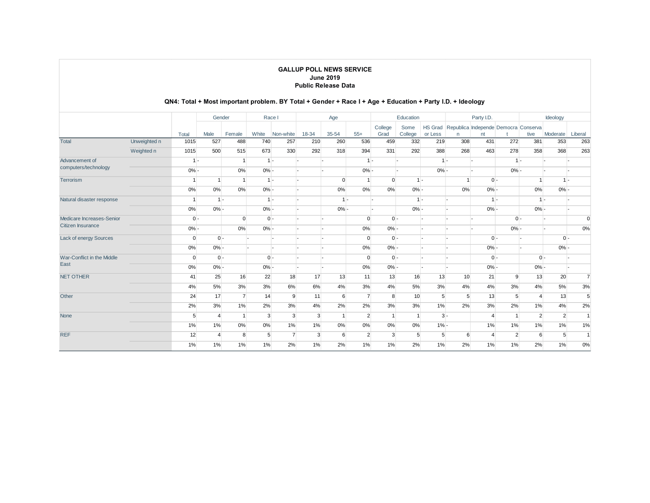|                            |              |          | Gender         |                |         | Race I         |       | Age      |                |                 | Education       |                    |                 | Party I.D. |                                      |                | Ideology       |                |
|----------------------------|--------------|----------|----------------|----------------|---------|----------------|-------|----------|----------------|-----------------|-----------------|--------------------|-----------------|------------|--------------------------------------|----------------|----------------|----------------|
|                            |              | Total    | Male           | Female         | White   | Non-white      | 18-34 | 35-54    | $55+$          | College<br>Grad | Some<br>College | HS Grad<br>or Less | n               | nt         | Republica Independe Democra Conserva | tive           | Moderate       | Liberal        |
| <b>Total</b>               | Unweighted n | 1015     | 527            | 488            | 740     | 257            | 210   | 260      | 536            | 459             | 332             | 219                | 308             | 431        | 272                                  | 381            | 353            | 263            |
|                            | Weighted n   | 1015     | 500            | 515            | 673     | 330            | 292   | 318      | 394            | 331             | 292             | 388                | 268             | 463        | 278                                  | 358            | 368            | 263            |
| Advancement of             |              | $1 -$    |                |                |         | $1 -$          |       |          | $1 -$          |                 |                 | $1 -$              |                 |            | $1 -$                                |                |                |                |
| computers/technology       |              | $0% -$   |                | 0%             | $0% -$  |                |       |          | $0% -$         |                 |                 | $0% -$             |                 |            | $0% -$                               |                |                |                |
| Terrorism                  |              |          |                |                |         | $1 -$          |       | $\Omega$ |                | $\overline{0}$  | $1 -$           |                    |                 |            | $0 -$                                |                | $1 -$          |                |
|                            |              | 0%       | 0%             | 0%             | $0% -$  |                |       | 0%       | $0\%$          | 0%              | $0% -$          |                    | 0%              | $0% -$     |                                      | 0%             | $0% -$         |                |
| Natural disaster response  |              |          | $1 -$          |                |         | $1 -$          |       | $1 -$    |                |                 | $1 -$           |                    |                 |            | $1 -$                                | $1 -$          |                |                |
|                            |              | 0%       | $0% -$         |                | $0% -$  |                |       | $0% -$   |                |                 | $0% -$          |                    |                 | $0% -$     |                                      | $0% -$         |                |                |
| Medicare Increases-Senior  |              | $0 -$    |                | $\Omega$       | $0 -$   |                |       |          | $\Omega$       | $0 -$           |                 |                    |                 |            | $0 -$                                |                |                | $\Omega$       |
| Citizen Insurance          |              | $0% -$   |                | 0%             | $0\%$ - |                |       |          | 0%             | $0% -$          |                 |                    |                 |            | $0% -$                               |                |                | 0%             |
| Lack of energy Sources     |              | $\Omega$ | $0 -$          |                |         |                |       |          | $\Omega$       | $0 -$           |                 |                    |                 |            | $0 -$                                |                | $0 -$          |                |
|                            |              | 0%       | $0% -$         |                |         |                |       |          | 0%             | $0% -$          |                 |                    |                 | $0% -$     |                                      |                | $0% -$         |                |
| War-Conflict in the Middle |              | $\Omega$ | $0 -$          |                |         | $0 -$          |       |          | $\Omega$       | $0 -$           |                 |                    |                 |            | $0 -$                                | $0 -$          |                |                |
| East                       |              | 0%       | $0% -$         |                | $0% -$  |                |       |          | 0%             | $0% -$          |                 |                    |                 | $0% -$     |                                      | $0% -$         |                |                |
| <b>NET OTHER</b>           |              | 41       | 25             | 16             | 22      | 18             | 17    | 13       | 11             | 13              | 16              | 13                 | 10 <sup>1</sup> | 21         | 9                                    | 13             | 20             | $\overline{7}$ |
|                            |              | 4%       | 5%             | 3%             | 3%      | 6%             | 6%    | 4%       | 3%             | 4%              | 5%              | 3%                 | 4%              | 4%         | 3%                                   | 4%             | 5%             | 3%             |
| Other                      |              | 24       | 17             | $\overline{7}$ | 14      | 9              | 11    | 6        | $\overline{7}$ | 8               | 10 <sup>1</sup> | 5                  | 5               | 13         | 5                                    | $\Delta$       | 13             | 5              |
|                            |              | 2%       | 3%             | 1%             | 2%      | 3%             | 4%    | 2%       | 2%             | 3%              | 3%              | 1%                 | 2%              | 3%         | 2%                                   | 1%             | 4%             | 2%             |
| None                       |              | 5        | $\overline{4}$ |                | 3       | $\mathbf{3}$   | 3     |          | $\overline{2}$ |                 | $\overline{1}$  | $3 -$              |                 |            | 1                                    | $\overline{2}$ | $\overline{2}$ | -1             |
|                            |              | 1%       | 1%             | 0%             | 0%      | 1%             | 1%    | 0%       | 0%             | 0%              | $0\%$           | $1% -$             |                 | 1%         | 1%                                   | 1%             | 1%             | 1%             |
| <b>REF</b>                 |              | 12       | $\overline{4}$ | 8              | 5       | $\overline{7}$ | 3     | 6        | $\overline{2}$ | $\mathbf{3}$    | 5               | 5                  | 6               |            | $\overline{2}$                       | 6              | 5              |                |
|                            |              | 1%       | 1%             | 1%             | 1%      | 2%             | 1%    | 2%       | 1%             | $1\%$           | 2%              | 1%                 | 2%              | 1%         | 1%                                   | 2%             | 1%             | 0%             |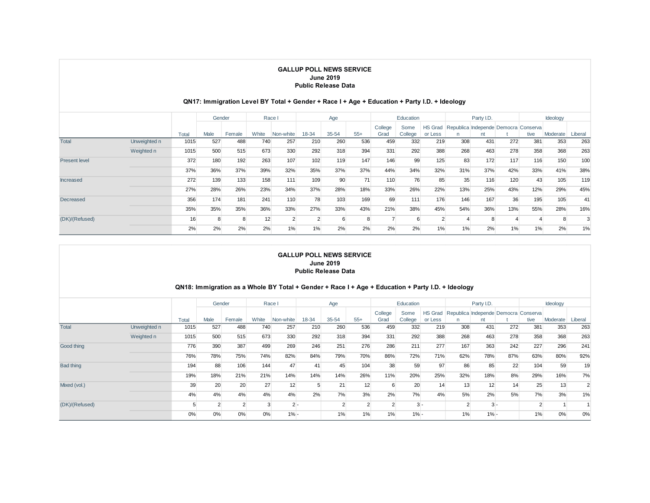## **QN17: Immigration Level BY Total + Gender + Race I + Age + Education + Party I.D. + Ideology**

|                      |              |       | Gender |        |       | Race I    |                | Age   |       |                 | Education       |                           |     | Party I.D.                                 |     |      | Ideology |         |
|----------------------|--------------|-------|--------|--------|-------|-----------|----------------|-------|-------|-----------------|-----------------|---------------------------|-----|--------------------------------------------|-----|------|----------|---------|
|                      |              | Total | Male   | Female | White | Non-white | 18-34          | 35-54 | $55+$ | College<br>Grad | Some<br>College | <b>HS Grad</b><br>or Less | n   | Republica Independe Democra Conserva<br>nt |     | tive | Moderate | Liberal |
| Total                | Unweighted n | 1015  | 527    | 488    | 740   | 257       | 210            | 260   | 536   | 459             | 332             | 219                       | 308 | 431                                        | 272 | 381  | 353      | 263     |
|                      | Weighted n   | 1015  | 500    | 515    | 673   | 330       | 292            | 318   | 394   | 331             | 292             | 388                       | 268 | 463                                        | 278 | 358  | 368      | 263     |
| <b>Present level</b> |              | 372   | 180    | 192    | 263   | 107       | 102            | 119   | 147   | 146             | 99              | 125                       | 83  | 172                                        | 117 | 116  | 150      | 100     |
|                      |              | 37%   | 36%    | 37%    | 39%   | 32%       | 35%            | 37%   | 37%   | 44%             | 34%             | 32%                       | 31% | 37%                                        | 42% | 33%  | 41%      | 38%     |
| <b>Increased</b>     |              | 272   | 139    | 133    | 158   | 111       | 109            | 90    | 71    | 110             | 76              | 85                        | 35  | 116                                        | 120 | 43   | 105      | 119     |
|                      |              | 27%   | 28%    | 26%    | 23%   | 34%       | 37%            | 28%   | 18%   | 33%             | 26%             | 22%                       | 13% | 25%                                        | 43% | 12%  | 29%      | 45%     |
| Decreased            |              | 356   | 174    | 181    | 241   | 110       | 78             | 103   | 169   | 69              | 111             | 176                       | 146 | 167                                        | 36  | 195  | 105      | 41      |
|                      |              | 35%   | 35%    | 35%    | 36%   | 33%       | 27%            | 33%   | 43%   | 21%             | 38%             | 45%                       | 54% | 36%                                        | 13% | 55%  | 28%      | 16%     |
| (DK)/(Refused)       |              | 16    | ጸ      |        | 12    |           | $\overline{2}$ |       | 8     |                 | 6               |                           |     |                                            |     |      |          |         |
|                      |              | 2%    | 2%     | 2%     | 2%    | 1%        | $1\%$          | 2%    | 2%    | 2%              | 2%              | 1%                        | 1%  | 2%                                         | 1%  | 1%   | 2%       | 1%      |

#### **GALLUP POLL NEWS SERVICE June 2019 Public Release Data**

### **QN18: Immigration as a Whole BY Total + Gender + Race I + Age + Education + Party I.D. + Ideology**

|                  |              |       |                | Gender |       | Race I    |       | Age   |       |                 | Education       |                           |                                      | Party I.D. |       |                | Ideology |         |
|------------------|--------------|-------|----------------|--------|-------|-----------|-------|-------|-------|-----------------|-----------------|---------------------------|--------------------------------------|------------|-------|----------------|----------|---------|
|                  |              | Total | Male           | Female | White | Non-white | 18-34 | 35-54 | $55+$ | College<br>Grad | Some<br>College | <b>HS Grad</b><br>or Less | Republica Independe Democra Conserva | nt         |       | tive           | Moderate | Liberal |
| <b>Total</b>     | Unweighted n | 1015  | 527            | 488    | 740   | 257       | 210   | 260   | 536   | 459             | 332             | 219                       | 308                                  | 431        | 272   | 381            | 353      | 263     |
|                  | Weighted n   | 1015  | 500            | 515    | 673   | 330       | 292   | 318   | 394   | 331             | 292             | 388                       | 268                                  | 463        | 278   | 358            | 368      | 263     |
| Good thing       |              | 776   | 390            | 387    | 499   | 269       | 246   | 251   | 276   | 286             | 211             | 277                       | 167                                  | 363        | 242   | 227            | 296      | 241     |
|                  |              | 76%   | 78%            | 75%    | 74%   | 82%       | 84%   | 79%   | 70%   | 86%             | 72%             | 71%                       | 62%                                  | 78%        | 87%   | 63%            | 80%      | 92%     |
| <b>Bad thing</b> |              | 194   | 88             | 106    | 144   | 47        | 41    | 45    | 104   | 38              | 59              | 97                        | 86                                   | 85         | 22    | 104            | 59       | 19      |
|                  |              | 19%   | 18%            | 21%    | 21%   | 14%       | 14%   | 14%   | 26%   | 11%             | 20%             | 25%                       | 32%                                  | 18%        | 8%    | 29%            | 16%      | 7%      |
| Mixed (vol.)     |              | 39    | 20             | 20     | 27    | 12        | 5     | 21    | 12    | 6               | 20              | 14                        | 13                                   | 12         | 14    | 25             | 13       |         |
|                  |              | 4%    | 4%             | 4%     | 4%    | 4%        | 2%    | 7%    | 3%    | 2%              | 7%              | 4%                        | 5%                                   | 2%         | 5%    | 7%             | 3%       | 1%      |
| (DK)/(Refused)   |              |       | $\overline{2}$ |        |       | 2 -       |       |       |       |                 | $3 -$           |                           |                                      |            | $3 -$ | $\overline{2}$ |          |         |
|                  |              | 0%    | 0%             | 0%     | 0%    | $1% -$    |       | 1%    | $1\%$ | 1%              | $1% -$          |                           | 1%                                   | $1% -$     |       | 1%             | 0%       | 0%      |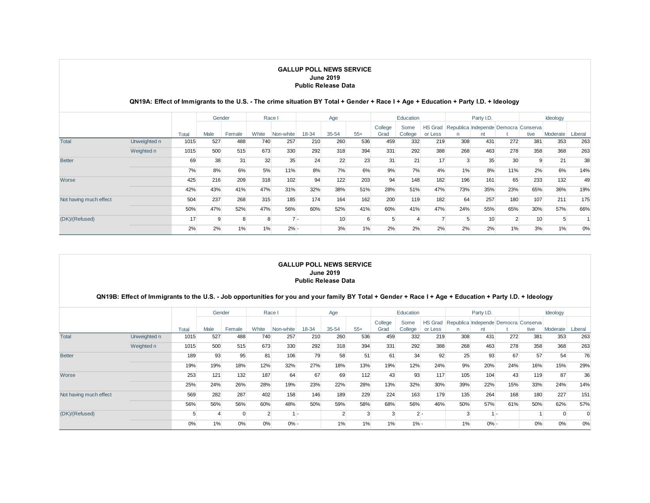### **QN19A: Effect of Immigrants to the U.S. - The crime situation BY Total + Gender + Race I + Age + Education + Party I.D. + Ideology**

|                        |              |       | Gender |        |       | Race I    |       | Age       |       |                 | Education       |                           |     | Party I.D.                                 |                |      | Ideology |         |
|------------------------|--------------|-------|--------|--------|-------|-----------|-------|-----------|-------|-----------------|-----------------|---------------------------|-----|--------------------------------------------|----------------|------|----------|---------|
|                        |              | Total | Male   | Female | White | Non-white | 18-34 | $35 - 54$ | $55+$ | College<br>Grad | Some<br>College | <b>HS Grad</b><br>or Less | n   | Republica Independe Democra Conserva<br>nt |                | tive | Moderate | Liberal |
| <b>Total</b>           | Unweighted n | 1015  | 527    | 488    | 740   | 257       | 210   | 260       | 536   | 459             | 332             | 219                       | 308 | 431                                        | 272            | 381  | 353      | 263     |
|                        | Weighted n   | 1015  | 500    | 515    | 673   | 330       | 292   | 318       | 394   | 331             | 292             | 388                       | 268 | 463                                        | 278            | 358  | 368      | 263     |
| <b>Better</b>          |              | 69    | 38     | 31     | 32    | 35        | 24    | 22        | 23    | 31              | 21              | 17                        |     | 35                                         | 30             | 9    | 21       | 38      |
|                        |              | 7%    | 8%     | 6%     | 5%    | 11%       | 8%    | 7%        | 6%    | 9%              | 7%              | 4%                        | 1%  | 8%                                         | 11%            | 2%   | 6%       | 14%     |
| Worse                  |              | 425   | 216    | 209    | 318   | 102       | 94    | 122       | 203   | 94              | 148             | 182                       | 196 | 161                                        | 65             | 233  | 132      | 49      |
|                        |              | 42%   | 43%    | 41%    | 47%   | 31%       | 32%   | 38%       | 51%   | 28%             | 51%             | 47%                       | 73% | 35%                                        | 23%            | 65%  | 36%      | 19%     |
| Not having much effect |              | 504   | 237    | 268    | 315   | 185       | 174   | 164       | 162   | 200             | 119             | 182                       | 64  | 257                                        | 180            | 107  | 211      | 175     |
|                        |              | 50%   | 47%    | 52%    | 47%   | 56%       | 60%   | 52%       | 41%   | 60%             | 41%             | 47%                       | 24% | 55%                                        | 65%            | 30%  | 57%      | 66%     |
| (DK)/(Refused)         |              | 17    | 9      |        |       |           | ٠.    | 10        | 6     |                 |                 |                           |     | 10 <sup>1</sup>                            | $\overline{2}$ | 10   |          |         |
|                        |              | 2%    | 2%     | 1%     | 1%    | $2% -$    |       | 3%        | 1%    | 2%              | 2%              | 2%                        | 2%  | 2%                                         | 1%             | 3%   | 1%       | 0%      |

#### **GALLUP POLL NEWS SERVICE June 2019 Public Release Data**

# **QN19B: Effect of Immigrants to the U.S. - Job opportunities for you and your family BY Total + Gender + Race I + Age + Education + Party I.D. + Ideology**

|                        |              |       | Gender |        |        | Race I    |       | Age       |       |         | Education |                |     | Party I.D.                           |     |      | Ideology |          |
|------------------------|--------------|-------|--------|--------|--------|-----------|-------|-----------|-------|---------|-----------|----------------|-----|--------------------------------------|-----|------|----------|----------|
|                        |              |       |        |        |        |           |       |           |       | College | Some      | <b>HS Grad</b> |     | Republica Independe Democra Conserva |     |      |          |          |
|                        |              | Total | Male   | Female | White  | Non-white | 18-34 | $35 - 54$ | $55+$ | Grad    | College   | or Less        |     | nt                                   |     | tive | Moderate | Liberal  |
| <b>Total</b>           | Unweighted n | 1015  | 527    | 488    | 740    | 257       | 210   | 260       | 536   | 459     | 332       | 219            | 308 | 431                                  | 272 | 381  | 353      | 263      |
|                        | Weighted n   | 1015  | 500    | 515    | 673    | 330       | 292   | 318       | 394   | 331     | 292       | 388            | 268 | 463                                  | 278 | 358  | 368      | 263      |
| <b>Better</b>          |              | 189   | 93     | 95     | 81     | 106       | 79    | 58        | 51    | 61      | 34        | 92             | 25  | 93                                   | 67  | 57   | 54       | 76       |
|                        |              | 19%   | 19%    | 18%    | 12%    | 32%       | 27%   | 18%       | 13%   | 19%     | 12%       | 24%            | 9%  | 20%                                  | 24% | 16%  | 15%      | 29%      |
| Worse                  |              | 253   | 121    | 132    | 187    | 64        | 67    | 69        | 112   | 43      | 93        | 117            | 105 | 104                                  | 43  | 119  | 87       | 36       |
|                        |              | 25%   | 24%    | 26%    | 28%    | 19%       | 23%   | 22%       | 28%   | 13%     | 32%       | 30%            | 39% | 22%                                  | 15% | 33%  | 24%      | 14%      |
| Not having much effect |              | 569   | 282    | 287    | 402    | 158       | 146   | 189       | 229   | 224     | 163       | 179            | 135 | 264                                  | 168 | 180  | 227      | 151      |
|                        |              | 56%   | 56%    | 56%    | 60%    | 48%       | 50%   | 59%       | 58%   | 68%     | 56%       | 46%            | 50% | 57%                                  | 61% | 50%  | 62%      | 57%      |
| (DK)/(Refused)         |              |       |        |        | $\sim$ |           | ۰.    |           |       |         | $2 -$     |                |     |                                      |     |      |          | $\Omega$ |
|                        |              | 0%    | 1%     | 0%     | 0%     | $0% -$    |       | $1\%$     | 1%    | 1%      | $1% -$    |                | 1%  | $0% -$                               |     | 0%   | 0%       | 0%       |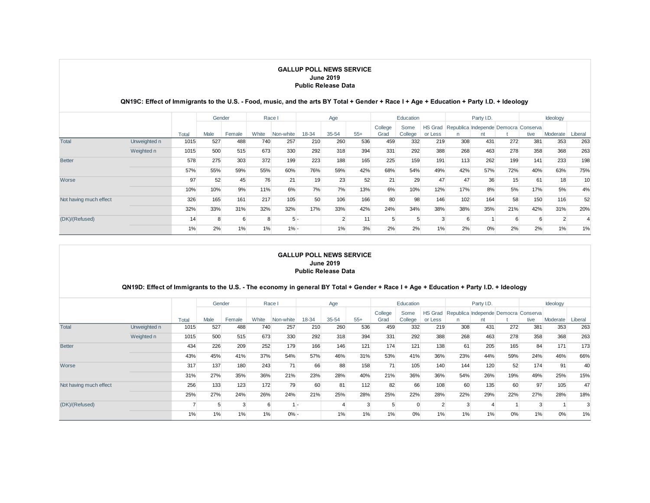#### **QN19C: Effect of Immigrants to the U.S. - Food, music, and the arts BY Total + Gender + Race I + Age + Education + Party I.D. + Ideology**

|                        |              |       | Gender |        |       | Race I    |       | Age   |       |                 | Education       |                           |     | Party I.D.                                |     |      | Ideology |                 |
|------------------------|--------------|-------|--------|--------|-------|-----------|-------|-------|-------|-----------------|-----------------|---------------------------|-----|-------------------------------------------|-----|------|----------|-----------------|
|                        |              | Total | Male   | Female | White | Non-white | 18-34 | 35-54 | $55+$ | College<br>Grad | Some<br>College | <b>HS Grad</b><br>or Less |     | Republica Independe Democra Conserva<br>n |     | tive | Moderate | Liberal         |
| <b>Total</b>           | Unweighted n | 1015  | 527    | 488    | 740   | 257       | 210   | 260   | 536   | 459             | 332             | 219                       | 308 | 431                                       | 272 | 381  | 353      | 263             |
|                        | Weighted n   | 1015  | 500    | 515    | 673   | 330       | 292   | 318   | 394   | 331             | 292             | 388                       | 268 | 463                                       | 278 | 358  | 368      | 263             |
| <b>Better</b>          |              | 578   | 275    | 303    | 372   | 199       | 223   | 188   | 165   | 225             | 159             | 191                       | 113 | 262                                       | 199 | 141  | 233      | 198             |
|                        |              | 57%   | 55%    | 59%    | 55%   | 60%       | 76%   | 59%   | 42%   | 68%             | 54%             | 49%                       | 42% | 57%                                       | 72% | 40%  | 63%      | 75%             |
| Worse                  |              | 97    | 52     | 45     | 76    | 21        | 19    | 23    | 52    | 21              | 29              | 47                        | 47  | 36                                        | 15  | 61   | 18       | 10 <sup>1</sup> |
|                        |              | 10%   | 10%    | 9%     | 11%   | 6%        | 7%    | 7%    | 13%   | 6%              | 10%             | 12%                       | 17% | 8%                                        | 5%  | 17%  | 5%       | 4%              |
| Not having much effect |              | 326   | 165    | 161    | 217   | 105       | 50    | 106   | 166   | 80              | 98              | 146                       | 102 | 164                                       | 58  | 150  | 116      | 52              |
|                        |              | 32%   | 33%    | 31%    | 32%   | 32%       | 17%   | 33%   | 42%   | 24%             | 34%             | 38%                       | 38% | 35%                                       | 21% | 42%  | 31%      | 20%             |
| (DK)/(Refused)         |              | 14    | 8      |        |       | $5 -$     |       |       | 11    |                 | 5               |                           |     |                                           | 6   | 6    |          |                 |
|                        |              | 1%    | 2%     | 1%     | 1%    | $1% -$    |       | 1%    | 3%    | 2%              | 2%              | 1%                        | 2%  | 0%                                        | 2%  | 2%   | 1%       | 1%              |

### **GALLUP POLL NEWS SERVICE June 2019 Public Release Data**

#### **QN19D: Effect of Immigrants to the U.S. - The economy in general BY Total + Gender + Race I + Age + Education + Party I.D. + Ideology**

|                        |              |       | Gender |        |       | Race I    |       | Age   |       |                 | Education       |                           |     | Party I.D.                           |       |      | Ideology |         |
|------------------------|--------------|-------|--------|--------|-------|-----------|-------|-------|-------|-----------------|-----------------|---------------------------|-----|--------------------------------------|-------|------|----------|---------|
|                        |              | Total | Male   | Female | White | Non-white | 18-34 | 35-54 | $55+$ | College<br>Grad | Some<br>College | <b>HS Grad</b><br>or Less |     | Republica Independe Democra Conserva |       | tive | Moderate | Liberal |
| <b>Total</b>           | Unweighted n | 1015  | 527    | 488    | 740   | 257       | 210   | 260   | 536   | 459             | 332             | 219                       | 308 | 431                                  | 272   | 381  | 353      | 263     |
|                        | Weighted n   | 1015  | 500    | 515    | 673   | 330       | 292   | 318   | 394   | 331             | 292             | 388                       | 268 | 463                                  | 278   | 358  | 368      | 263     |
| <b>Better</b>          |              | 434   | 226    | 209    | 252   | 179       | 166   | 146   | 121   | 174             | 121             | 138                       | 61  | 205                                  | 165   | 84   | 171      | 173     |
|                        |              | 43%   | 45%    | 41%    | 37%   | 54%       | 57%   | 46%   | 31%   | 53%             | 41%             | 36%                       | 23% | 44%                                  | 59%   | 24%  | 46%      | 66%     |
| Worse                  |              | 317   | 137    | 180    | 243   | 71        | 66    | 88    | 158   | 71              | 105             | 140                       | 144 | 120                                  | 52    | 174  | 91       | 40      |
|                        |              | 31%   | 27%    | 35%    | 36%   | 21%       | 23%   | 28%   | 40%   | 21%             | 36%             | 36%                       | 54% | 26%                                  | 19%   | 49%  | 25%      | 15%     |
| Not having much effect |              | 256   | 133    | 123    | 172   | 79        | 60    | 81    | 112   | 82              | 66              | 108                       | 60  | 135                                  | 60    | 97   | 105      | 47      |
|                        |              | 25%   | 27%    | 24%    | 26%   | 24%       | 21%   | 25%   | 28%   | 25%             | 22%             | 28%                       | 22% | 29%                                  | 22%   | 27%  | 28%      | 18%     |
| (DK)/(Refused)         |              |       |        |        |       |           |       |       |       |                 |                 |                           |     |                                      |       |      |          |         |
|                        |              | 1%    | 1%     | 1%     | 1%    | $0% -$    |       | 1%    | 1%    | 1%              | 0%              | 1%                        | 1%  | 1%                                   | $0\%$ | 1%   | 0%       | 1%      |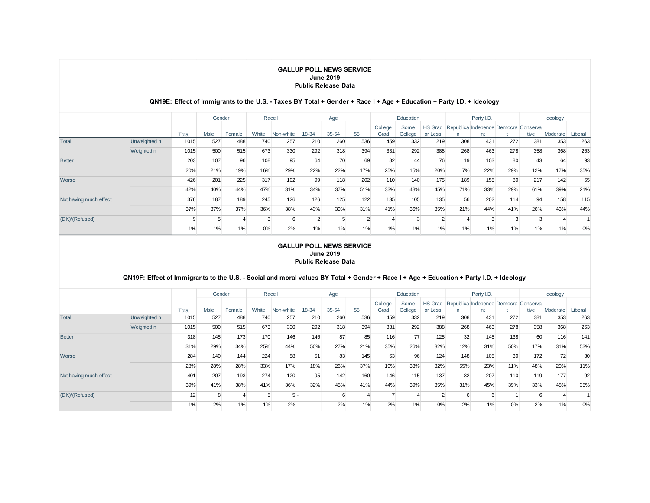#### **QN19E: Effect of Immigrants to the U.S. - Taxes BY Total + Gender + Race I + Age + Education + Party I.D. + Ideology**

|                        |              |       | Gender |        |       | Race I    |        | Age       |       |                 | Education       |                           |     | Party I.D.                                 |        |      | Ideology |         |
|------------------------|--------------|-------|--------|--------|-------|-----------|--------|-----------|-------|-----------------|-----------------|---------------------------|-----|--------------------------------------------|--------|------|----------|---------|
|                        |              | Total | Male   | Female | White | Non-white | 18-34  | $35 - 54$ | $55+$ | College<br>Grad | Some<br>College | <b>HS Grad</b><br>or Less | n   | Republica Independe Democra Conserva<br>nt |        | tive | Moderate | Liberal |
| <b>Total</b>           | Unweighted n | 1015  | 527    | 488    | 740   | 257       | 210    | 260       | 536   | 459             | 332             | 219                       | 308 | 431                                        | 272    | 381  | 353      | 263     |
|                        | Weighted n   | 1015  | 500    | 515    | 673   | 330       | 292    | 318       | 394   | 331             | 292             | 388                       | 268 | 463                                        | 278    | 358  | 368      | 263     |
| <b>Better</b>          |              | 203   | 107    | 96     | 108   | 95        | 64     | 70        | 69    | 82              | 44              | 76                        | 19  | 103                                        | 80     | 43   | 64       | 93      |
|                        |              | 20%   | 21%    | 19%    | 16%   | 29%       | 22%    | 22%       | 17%   | 25%             | 15%             | 20%                       | 7%  | 22%                                        | 29%    | 12%  | 17%      | 35%     |
| Worse                  |              | 426   | 201    | 225    | 317   | 102       | 99     | 118       | 202   | 110             | 140             | 175                       | 189 | 155                                        | 80     | 217  | 142      | 55      |
|                        |              | 42%   | 40%    | 44%    | 47%   | 31%       | 34%    | 37%       | 51%   | 33%             | 48%             | 45%                       | 71% | 33%                                        | 29%    | 61%  | 39%      | 21%     |
| Not having much effect |              | 376   | 187    | 189    | 245   | 126       | 126    | 125       | 122   | 135             | 105             | 135                       | 56  | 202                                        | 114    | 94   | 158      | 115     |
|                        |              | 37%   | 37%    | 37%    | 36%   | 38%       | 43%    | 39%       | 31%   | 41%             | 36%             | 35%                       | 21% | 44%                                        | 41%    | 26%  | 43%      | 44%     |
| (DK)/(Refused)         |              |       | 5      |        |       |           | $\sim$ |           |       |                 | 3               |                           |     |                                            | $\sim$ |      |          |         |
|                        |              | 1%    | 1%     | 1%     | $0\%$ | 2%        | 1%     | 1%        | 1%    | 1%              | 1%              | 1%                        | 1%  | 1%                                         | 1%     | 1%   | 1%       | 0%      |

#### **GALLUP POLL NEWS SERVICE June 2019 Public Release Data**

### **QN19F: Effect of Immigrants to the U.S. - Social and moral values BY Total + Gender + Race I + Age + Education + Party I.D. + Ideology**

|                        |              |       | Gender |        |       | Race I    |       | Age   |       |                 | Education       |                           |     | Party I.D.                                 |     |      | Ideology |         |
|------------------------|--------------|-------|--------|--------|-------|-----------|-------|-------|-------|-----------------|-----------------|---------------------------|-----|--------------------------------------------|-----|------|----------|---------|
|                        |              | Total | Male   | Female | White | Non-white | 18-34 | 35-54 | $55+$ | College<br>Grad | Some<br>College | <b>HS Grad</b><br>or Less |     | Republica Independe Democra Conserva<br>nt |     | tive | Moderate | Liberal |
| <b>Total</b>           | Unweighted n | 1015  | 527    | 488    | 740   | 257       | 210   | 260   | 536   | 459             | 332             | 219                       | 308 | 431                                        | 272 | 381  | 353      | 263     |
|                        | Weighted n   | 1015  | 500    | 515    | 673   | 330       | 292   | 318   | 394   | 331             | 292             | 388                       | 268 | 463                                        | 278 | 358  | 368      | 263     |
| <b>Better</b>          |              | 318   | 145    | 173    | 170   | 146       | 146   | 87    | 85    | 116             | 77              | 125                       | 32  | 145                                        | 138 | 60   | 116      | 141     |
|                        |              | 31%   | 29%    | 34%    | 25%   | 44%       | 50%   | 27%   | 21%   | 35%             | 26%             | 32%                       | 12% | 31%                                        | 50% | 17%  | 31%      | 53%     |
| Worse                  |              | 284   | 140    | 144    | 224   | 58        | 51    | 83    | 145   | 63              | 96              | 124                       | 148 | 105                                        | 30  | 172  | 72       | 30      |
|                        |              | 28%   | 28%    | 28%    | 33%   | 17%       | 18%   | 26%   | 37%   | 19%             | 33%             | 32%                       | 55% | 23%                                        | 11% | 48%  | 20%      | 11%     |
| Not having much effect |              | 401   | 207    | 193    | 274   | 120       | 95    | 142   | 160   | 146             | 115             | 137                       | 82  | 207                                        | 110 | 119  | 177      | 92      |
|                        |              | 39%   | 41%    | 38%    | 41%   | 36%       | 32%   | 45%   | 41%   | 44%             | 39%             | 35%                       | 31% | 45%                                        | 39% | 33%  | 48%      | 35%     |
| (DK)/(Refused)         |              | 12    | 8      |        |       | 5 -       |       |       |       |                 |                 |                           |     |                                            |     | 6    |          |         |
|                        |              | 1%    | 2%     | 1%     | 1%    | $2% -$    |       | 2%    | 1%    | 2%              | $1\%$           | 0%                        | 2%  | 1%                                         | 0%  | 2%   | $1\%$    | 0%      |